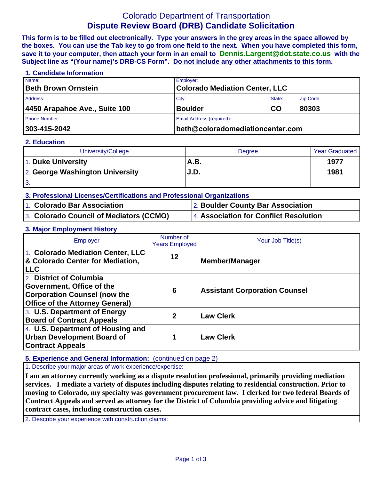# Colorado Department of Transportation **Dispute Review Board (DRB) Candidate Solicitation**

**This form is to be filled out electronically. Type your answers in the grey areas in the space allowed by the boxes. You can use the Tab key to go from one field to the next. When you have completed this form, save it to your computer, then attach your form in an email to Dennis.Largent@dot.state.co.us with the Subject line as "(Your name)'s DRB-CS Form". Do not include any other attachments to this form.**

| 1. Candidate Information      |                                  |                                       |                 |  |  |
|-------------------------------|----------------------------------|---------------------------------------|-----------------|--|--|
| Name:                         | Employer:                        |                                       |                 |  |  |
| <b>Beth Brown Ornstein</b>    |                                  | <b>Colorado Mediation Center, LLC</b> |                 |  |  |
| Address:                      | City:                            | State:                                | <b>Zip Code</b> |  |  |
| 4450 Arapahoe Ave., Suite 100 | <b>Boulder</b>                   | <b>CO</b>                             | 80303           |  |  |
| <b>Phone Number:</b>          | <b>Email Address (required):</b> |                                       |                 |  |  |
| 303-415-2042                  |                                  | beth@coloradomediationcenter.com      |                 |  |  |

#### **2. Education**

| University/College              | <b>Degree</b> | <b>Year Graduated</b> |
|---------------------------------|---------------|-----------------------|
| 1. Duke University              | <b>A.B.</b>   | 1977                  |
| 2. George Washington University | J.D.          | 1981                  |
| <u>іЗ.</u>                      |               |                       |

### **3. Professional Licenses/Certifications and Professional Organizations**

| 1. Colorado Bar Association             | 2. Boulder County Bar Association      |
|-----------------------------------------|----------------------------------------|
| 3. Colorado Council of Mediators (CCMO) | 4. Association for Conflict Resolution |

#### **3. Major Employment History**

| Employer                                                                                                                              | Number of<br><b>Years Employed</b> | Your Job Title(s)                    |
|---------------------------------------------------------------------------------------------------------------------------------------|------------------------------------|--------------------------------------|
| 1. Colorado Mediation Center, LLC<br>& Colorado Center for Mediation,<br><b>ILLC</b>                                                  | 12                                 | <b>Member/Manager</b>                |
| 2. District of Columbia<br>Government, Office of the<br><b>Corporation Counsel (now the</b><br><b>Office of the Attorney General)</b> | 6                                  | <b>Assistant Corporation Counsel</b> |
| 3. U.S. Department of Energy<br><b>Board of Contract Appeals</b>                                                                      | $\mathbf{p}$                       | <b>Law Clerk</b>                     |
| 4. U.S. Department of Housing and<br><b>Urban Development Board of</b><br><b>Contract Appeals</b>                                     |                                    | <b>Law Clerk</b>                     |

#### **5. Experience and General Information:** (continued on page 2)

1. Describe your major areas of work experience/expertise:

**I am an attorney currently working as a dispute resolution professional, primarily providing mediation services. I mediate a variety of disputes including disputes relating to residential construction. Prior to moving to Colorado, my specialty was government procurement law. I clerked for two federal Boards of Contract Appeals and served as attorney for the District of Columbia providing advice and litigating contract cases, including construction cases.**

2. Describe your experience with construction claims: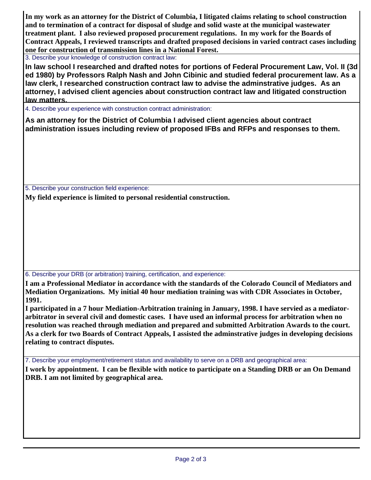**In my work as an attorney for the District of Columbia, I litigated claims relating to school construction and to termination of a contract for disposal of sludge and solid waste at the municipal wastewater treatment plant. I also reviewed proposed procurement regulations. In my work for the Boards of Contract Appeals, I reviewed transcripts and drafted proposed decisions in varied contract cases including one for construction of transmission lines in a National Forest.**

3. Describe your knowledge of construction contract law:

**In law school I researched and drafted notes for portions of Federal Procurement Law, Vol. II (3d ed 1980) by Professors Ralph Nash and John Cibinic and studied federal procurement law. As a law clerk, I researched construction contract law to advise the adminstrative judges. As an attorney, I advised client agencies about construction contract law and litigated construction law matters.**

4. Describe your experience with construction contract administration:

**As an attorney for the District of Columbia I advised client agencies about contract administration issues including review of proposed IFBs and RFPs and responses to them.** 

5. Describe your construction field experience:

**My field experience is limited to personal residential construction.**

6. Describe your DRB (or arbitration) training, certification, and experience:

**I am a Professional Mediator in accordance with the standards of the Colorado Council of Mediators and Mediation Organizations. My initial 40 hour mediation training was with CDR Associates in October, 1991.** 

**I participated in a 7 hour Mediation-Arbitration training in January, 1998. I have servied as a mediatorarbitrator in several civil and domestic cases. I have used an informal process for arbitration when no resolution was reached through mediation and prepared and submitted Arbitration Awards to the court. As a clerk for two Boards of Contract Appeals, I assisted the adminstrative judges in developing decisions relating to contract disputes.**

7. Describe your employment/retirement status and availability to serve on a DRB and geographical area:

**I work by appointment. I can be flexible with notice to participate on a Standing DRB or an On Demand DRB. I am not limited by geographical area.**